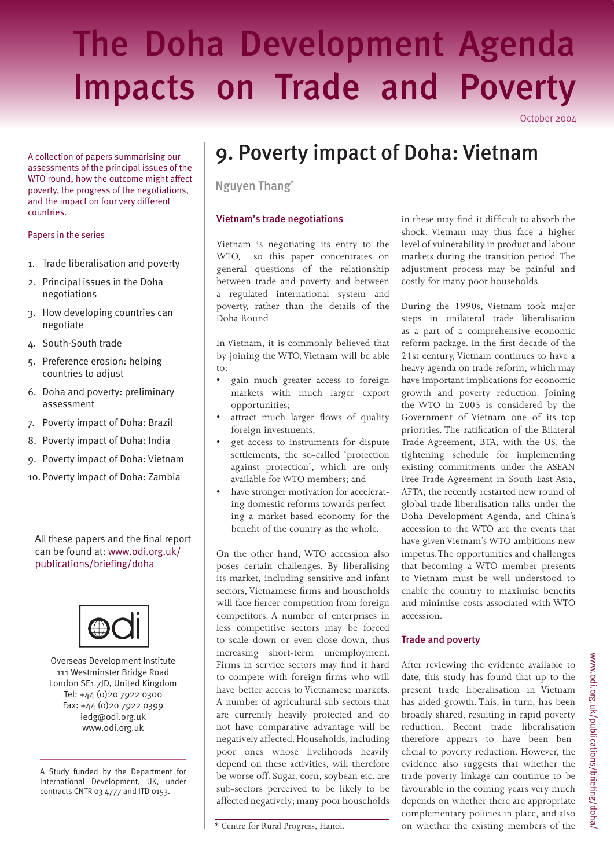# The Doha Development Agenda Impacts on Trade and Poverty

October 2004

A collection of papers summarising our assessments of the principal issues of the WTO round, how the outcome might affect poverty, the progress of the negotiations, and the impact on four very different countries.

#### Papers in the series

- 1. Trade liberalisation and poverty
- 2. Principal issues in the Doha negotiations
- 3. How developing countries can negotiate
- 4. South-South trade
- 5. Preference erosion: helping countries to adjust
- 6. Doha and poverty: preliminary assessment
- 7. Poverty impact of Doha: Brazil
- 8. Poverty impact of Doha: India
- 9. Poverty impact of Doha: Vietnam
- 10. Poverty impact of Doha: Zambia

#### All these papers and the final report can be found at: www.odi.org.uk/ publications/briefing/doha



Overseas Development Institute 111 Westminster Bridge Road London SE1 7JD, United Kingdom Tel: +44 (0)20 7922 0300 Fax: +44 (0)20 7922 0399 iedg@odi.org.uk www.odi.org.uk

A Study funded by the Department for International Development, UK, under contracts CNTR 03 4777 and ITD 0153.

## 9. Poverty impact of Doha: Vietnam

Nguyen Thang\*

#### Vietnam's trade negotiations

Vietnam is negotiating its entry to the WTO, so this paper concentrates on general questions of the relationship between trade and poverty and between a regulated international system and poverty, rather than the details of the Doha Round.

In Vietnam, it is commonly believed that by joining the WTO, Vietnam will be able to:

- gain much greater access to foreign markets with much larger export opportunities;
- attract much larger flows of quality foreign investments;
- get access to instruments for dispute settlements, the so-called 'protection against protection', which are only available for WTO members; and
- have stronger motivation for accelerating domestic reforms towards perfecting a market-based economy for the benefit of the country as the whole.

On the other hand, WTO accession also poses certain challenges. By liberalising its market, including sensitive and infant sectors, Vietnamese firms and households will face fiercer competition from foreign competitors. A number of enterprises in less competitive sectors may be forced to scale down or even close down, thus increasing short-term unemployment. Firms in service sectors may find it hard to compete with foreign firms who will have better access to Vietnamese markets. A number of agricultural sub-sectors that are currently heavily protected and do not have comparative advantage will be negatively affected. Households, including poor ones whose livelihoods heavily depend on these activities, will therefore be worse off. Sugar, corn, soybean etc. are sub-sectors perceived to be likely to be affected negatively; many poor households in these may find it difficult to absorb the shock. Vietnam may thus face a higher level of vulnerability in product and labour markets during the transition period. The adjustment process may be painful and costly for many poor households.

During the 1990s, Vietnam took major steps in unilateral trade liberalisation as a part of a comprehensive economic reform package. In the first decade of the 21st century, Vietnam continues to have a heavy agenda on trade reform, which may have important implications for economic growth and poverty reduction. Joining the WTO in 2005 is considered by the Government of Vietnam one of its top priorities. The ratification of the Bilateral Trade Agreement, BTA, with the US, the tightening schedule for implementing existing commitments under the ASEAN Free Trade Agreement in South East Asia, AFTA, the recently restarted new round of global trade liberalisation talks under the Doha Development Agenda, and China's accession to the WTO are the events that have given Vietnam's WTO ambitions new impetus. The opportunities and challenges that becoming a WTO member presents to Vietnam must be well understood to enable the country to maximise benefits and minimise costs associated with WTO accession.

### Trade and poverty

After reviewing the evidence available to date, this study has found that up to the present trade liberalisation in Vietnam has aided growth. This, in turn, has been broadly shared, resulting in rapid poverty reduction. Recent trade liberalisation therefore appears to have been beneficial to poverty reduction. However, the evidence also suggests that whether the trade-poverty linkage can continue to be favourable in the coming years very much depends on whether there are appropriate complementary policies in place, and also \* Centre for Rural Progress, Hanoi. on whether the existing members of the